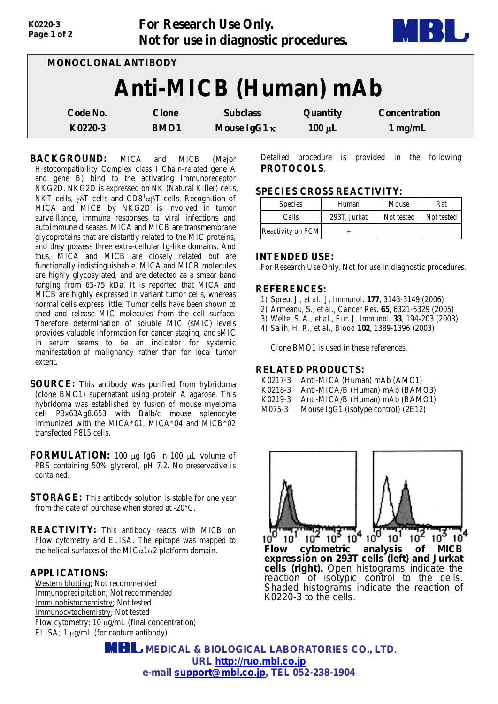| K0220-3<br>Page 1 of 2 |              | <b>For Research Use Only.</b><br>Not for use in diagnostic procedures. |             |                      |
|------------------------|--------------|------------------------------------------------------------------------|-------------|----------------------|
| MONOCLONAL ANTIBODY    |              |                                                                        |             |                      |
|                        |              | <b>Anti-MICB</b> (Human) mAb                                           |             |                      |
| Code No.               | <b>Clone</b> | <b>Subclass</b>                                                        | Quantity    | <b>Concentration</b> |
| K0220-3                | <b>BMO1</b>  | Mouse IgG1 $\kappa$                                                    | $100 \mu L$ | $1$ mg/mL            |

**BACKGROUND:** MICA and MICB (Major Histocompatibility Complex class I Chain-related gene A and gene B) bind to the activating immunoreceptor NKG2D. NKG2D is expressed on NK (Natural Killer) cells, NKT cells,  $γδT$  cells and CD8<sup>+</sup> $αβT$  cells. Recognition of MICA and MICB by NKG2D is involved in tumor surveillance, immune responses to viral infections and autoimmune diseases. MICA and MICB are transmembrane glycoproteins that are distantly related to the MIC proteins, and they possess three extra-cellular Ig-like domains. And thus, MICA and MICB are closely related but are functionally indistinguishable. MICA and MICB molecules are highly glycosylated, and are detected as a smear band ranging from 65-75 kDa. It is reported that MICA and MICB are highly expressed in variant tumor cells, whereas normal cells express little. Tumor cells have been shown to shed and release MIC molecules from the cell surface. Therefore determination of soluble MIC (sMIC) levels provides valuable information for cancer staging, and sMIC in serum seems to be an indicator for systemic manifestation of malignancy rather than for local tumor extent.

**SOURCE:** This antibody was purified from hybridoma (clone BMO1) supernatant using protein A agarose. This hybridoma was established by fusion of mouse myeloma cell P3x63Ag8.653 with Balb/c mouse splenocyte immunized with the MICA\*01, MICA\*04 and MICB\*02 transfected P815 cells.

**FORMULATION:** 100 µg IgG in 100 µL volume of PBS containing 50% glycerol, pH 7.2. No preservative is contained.

**STORAGE:** This antibody solution is stable for one year from the date of purchase when stored at -20°C.

**REACTIVITY:** This antibody reacts with MICB on Flow cytometry and ELISA. The epitope was mapped to the helical surfaces of the MIC $\alpha$ 1 $\alpha$ 2 platform domain.

## **APPLICATIONS:**

Western blotting; Not recommended Immunoprecipitation; Not recommended Immunohistochemistry; Not tested Immunocytochemistry; Not tested Flow cytometry; 10 µg/mL (final concentration) ELISA; 1 µg/mL (for capture antibody)

Detailed procedure is provided in the following **PROTOCOLS**.

## **SPECIES CROSS REACTIVITY:**

| <b>Species</b>    | Human        | Mouse      | Rat        |
|-------------------|--------------|------------|------------|
| Cells             | 293T, Jurkat | Not tested | Not tested |
| Reactivity on FCM |              |            |            |

### **INTENDED USE:**

For Research Use Only. Not for use in diagnostic procedures.

### **REFERENCES:**

- 1) Spreu, J., *et al., J. Immunol.* **177**, 3143-3149 (2006)
- 2) Armeanu, S., *et al., Cancer Res.* **65**, 6321-6329 (2005)
- 3) Welte, S. A., *et al., Eur. J. Immunol.* **33**, 194-203 (2003)
- 4) Salih, H. R., *et al., Blood* **102**, 1389-1396 (2003)

Clone BMO1 is used in these references.

# **RELATED PRODUCTS:**

- K0218-3 Anti-MICA/B (Human) mAb (BAMO3)
- K0219-3 Anti-MICA/B (Human) mAb (BAMO1)<br>M075-3 Mouse JgG1 (isotype control) (2E12)
- Mouse IgG1 (isotype control) (2E12)



*Flow cytometric analysis of MICB expression on 293T cells (left) and Jurkat cells (right). Open histograms indicate the reaction of isotypic control to the cells. Shaded histograms indicate the reaction of K0220-3 to the cells.*

 **MEDICAL & BIOLOGICAL LABORATORIES CO., LTD. URL [http://ruo.mbl.co.jp](https://res.mbl.co.jp/) e-mail [support@mbl.co.jp,](mailto:support@mbl.co.jp) TEL 052-238-1904**